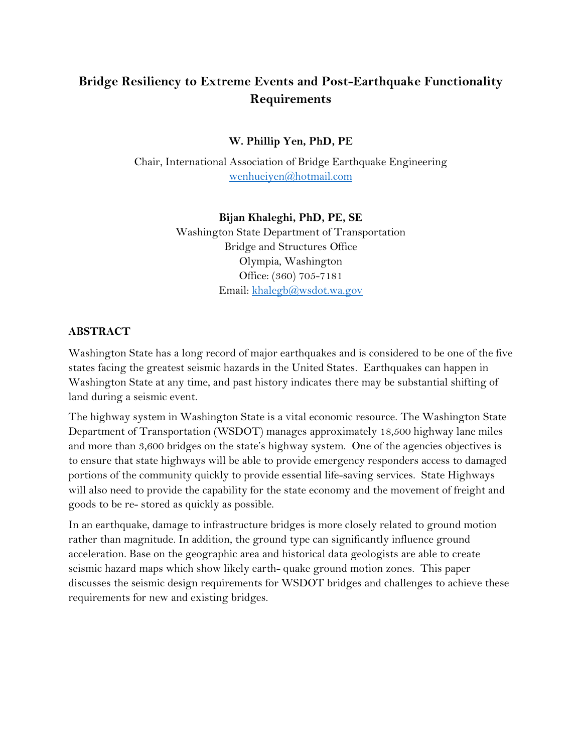# **Bridge Resiliency to Extreme Events and Post-Earthquake Functionality Requirements**

**W. Phillip Yen, PhD, PE**

Chair, International Association of Bridge Earthquake Engineering [wenhueiyen@hotmail.com](mailto:wenhueiyen@hotmail.com)

### **Bijan Khaleghi, PhD, PE, SE**

Washington State Department of Transportation Bridge and Structures Office Olympia, Washington Office: (360) 705-7181 Email: [khalegb@wsdot.wa.gov](mailto:khalegb@wsdot.wa.gov)

### **ABSTRACT**

Washington State has a long record of major earthquakes and is considered to be one of the five states facing the greatest seismic hazards in the United States. Earthquakes can happen in Washington State at any time, and past history indicates there may be substantial shifting of land during a seismic event.

The highway system in Washington State is a vital economic resource. The Washington State Department of Transportation (WSDOT) manages approximately 18,500 highway lane miles and more than 3,600 bridges on the state's highway system. One of the agencies objectives is to ensure that state highways will be able to provide emergency responders access to damaged portions of the community quickly to provide essential life-saving services. State Highways will also need to provide the capability for the state economy and the movement of freight and goods to be re- stored as quickly as possible.

In an earthquake, damage to infrastructure bridges is more closely related to ground motion rather than magnitude. In addition, the ground type can significantly influence ground acceleration. Base on the geographic area and historical data geologists are able to create seismic hazard maps which show likely earth- quake ground motion zones. This paper discusses the seismic design requirements for WSDOT bridges and challenges to achieve these requirements for new and existing bridges.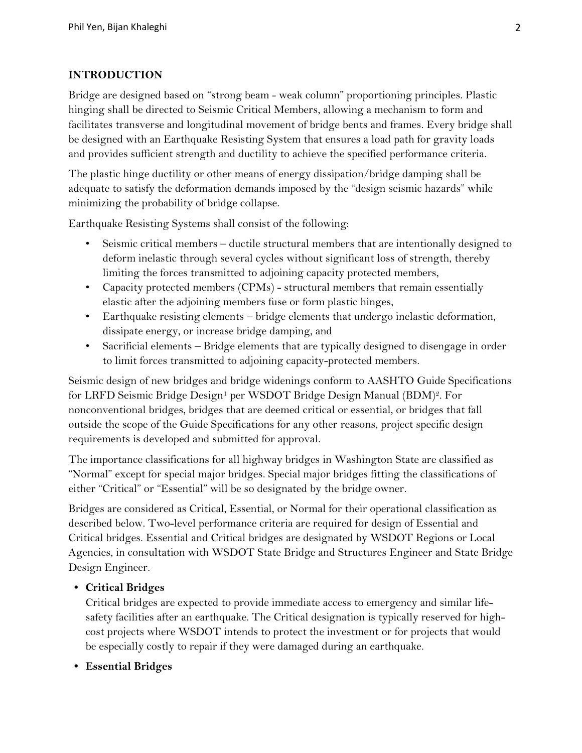### **INTRODUCTION**

Bridge are designed based on "strong beam - weak column" proportioning principles. Plastic hinging shall be directed to Seismic Critical Members, allowing a mechanism to form and facilitates transverse and longitudinal movement of bridge bents and frames. Every bridge shall be designed with an Earthquake Resisting System that ensures a load path for gravity loads and provides sufficient strength and ductility to achieve the specified performance criteria.

The plastic hinge ductility or other means of energy dissipation/bridge damping shall be adequate to satisfy the deformation demands imposed by the "design seismic hazards" while minimizing the probability of bridge collapse.

Earthquake Resisting Systems shall consist of the following:

- Seismic critical members ductile structural members that are intentionally designed to deform inelastic through several cycles without significant loss of strength, thereby limiting the forces transmitted to adjoining capacity protected members,
- Capacity protected members (CPMs) structural members that remain essentially elastic after the adjoining members fuse or form plastic hinges,
- Earthquake resisting elements bridge elements that undergo inelastic deformation, dissipate energy, or increase bridge damping, and
- Sacrificial elements Bridge elements that are typically designed to disengage in order to limit forces transmitted to adjoining capacity-protected members.

Seismic design of new bridges and bridge widenings conform to AASHTO Guide Specifications for LRFD Seismic Bridge Design<sup>1</sup> per WSDOT Bridge Design Manual (BDM)<sup>2</sup>. For nonconventional bridges, bridges that are deemed critical or essential, or bridges that fall outside the scope of the Guide Specifications for any other reasons, project specific design requirements is developed and submitted for approval.

The importance classifications for all highway bridges in Washington State are classified as "Normal" except for special major bridges. Special major bridges fitting the classifications of either "Critical" or "Essential" will be so designated by the bridge owner.

Bridges are considered as Critical, Essential, or Normal for their operational classification as described below. Two-level performance criteria are required for design of Essential and Critical bridges. Essential and Critical bridges are designated by WSDOT Regions or Local Agencies, in consultation with WSDOT State Bridge and Structures Engineer and State Bridge Design Engineer.

### **• Critical Bridges**

Critical bridges are expected to provide immediate access to emergency and similar lifesafety facilities after an earthquake. The Critical designation is typically reserved for highcost projects where WSDOT intends to protect the investment or for projects that would be especially costly to repair if they were damaged during an earthquake.

### **• Essential Bridges**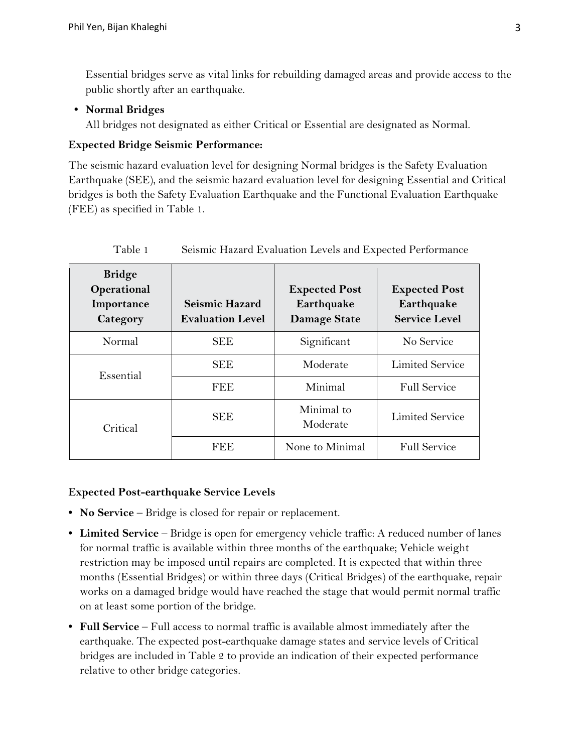Essential bridges serve as vital links for rebuilding damaged areas and provide access to the public shortly after an earthquake.

### **• Normal Bridges**

All bridges not designated as either Critical or Essential are designated as Normal.

### **Expected Bridge Seismic Performance:**

The seismic hazard evaluation level for designing Normal bridges is the Safety Evaluation Earthquake (SEE), and the seismic hazard evaluation level for designing Essential and Critical bridges is both the Safety Evaluation Earthquake and the Functional Evaluation Earthquake (FEE) as specified in Table 1.

| <b>Bridge</b><br>Operational<br>Importance<br>Category | <b>Seismic Hazard</b><br><b>Evaluation Level</b> | <b>Expected Post</b><br>Earthquake<br><b>Damage State</b> | <b>Expected Post</b><br>Earthquake<br><b>Service Level</b> |
|--------------------------------------------------------|--------------------------------------------------|-----------------------------------------------------------|------------------------------------------------------------|
| Normal                                                 | <b>SEE</b>                                       | Significant                                               | No Service                                                 |
| Essential                                              | <b>SEE</b>                                       | Moderate                                                  | <b>Limited Service</b>                                     |
|                                                        | <b>FEE</b>                                       | Minimal                                                   | <b>Full Service</b>                                        |
| Critical                                               | <b>SEE</b>                                       | Minimal to<br>Moderate                                    | <b>Limited Service</b>                                     |
|                                                        | FEE                                              | None to Minimal                                           | <b>Full Service</b>                                        |

Table 1 Seismic Hazard Evaluation Levels and Expected Performance

### **Expected Post-earthquake Service Levels**

- **• No Service** Bridge is closed for repair or replacement.
- **• Limited Service** Bridge is open for emergency vehicle traffic: A reduced number of lanes for normal traffic is available within three months of the earthquake; Vehicle weight restriction may be imposed until repairs are completed. It is expected that within three months (Essential Bridges) or within three days (Critical Bridges) of the earthquake, repair works on a damaged bridge would have reached the stage that would permit normal traffic on at least some portion of the bridge.
- **• Full Service** Full access to normal traffic is available almost immediately after the earthquake. The expected post-earthquake damage states and service levels of Critical bridges are included in Table 2 to provide an indication of their expected performance relative to other bridge categories.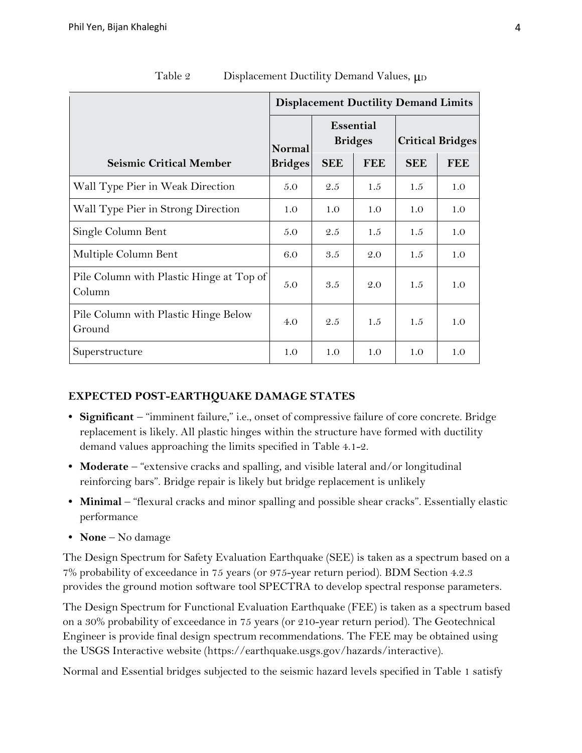|                                                    | <b>Displacement Ductility Demand Limits</b> |                                    |            |                         |            |
|----------------------------------------------------|---------------------------------------------|------------------------------------|------------|-------------------------|------------|
|                                                    | Normal<br><b>Bridges</b>                    | <b>Essential</b><br><b>Bridges</b> |            | <b>Critical Bridges</b> |            |
| <b>Seismic Critical Member</b>                     |                                             | <b>SEE</b>                         | <b>FEE</b> | <b>SEE</b>              | <b>FEE</b> |
| Wall Type Pier in Weak Direction                   | 5.0                                         | 2.5                                | 1.5        | 1.5                     | 1.0        |
| Wall Type Pier in Strong Direction                 | 1.0                                         | 1.0                                | 1.0        | 1.0                     | 1.0        |
| Single Column Bent                                 | 5.0                                         | 2.5                                | 1.5        | 1.5                     | 1.0        |
| Multiple Column Bent                               | 6.0                                         | 3.5                                | 2.0        | 1.5                     | 1.0        |
| Pile Column with Plastic Hinge at Top of<br>Column | 5.0                                         | 3.5                                | 2.0        | 1.5                     | 1.0        |
| Pile Column with Plastic Hinge Below<br>Ground     | 4.0                                         | 2.5                                | 1.5        | 1.5                     | 1.0        |
| Superstructure                                     | 1.0                                         | 1.0                                | 1.0        | 1.0                     | 1.0        |

Table 2 Displacement Ductility Demand Values,  $\mu$ <sub>D</sub>

### **EXPECTED POST-EARTHQUAKE DAMAGE STATES**

- **• Significant**  "imminent failure," i.e., onset of compressive failure of core concrete. Bridge replacement is likely. All plastic hinges within the structure have formed with ductility demand values approaching the limits specified in Table 4.1-2.
- **• Moderate**  "extensive cracks and spalling, and visible lateral and/or longitudinal reinforcing bars". Bridge repair is likely but bridge replacement is unlikely
- **• Minimal** "flexural cracks and minor spalling and possible shear cracks". Essentially elastic performance
- **• None** No damage

The Design Spectrum for Safety Evaluation Earthquake (SEE) is taken as a spectrum based on a 7% probability of exceedance in 75 years (or 975-year return period). BDM Section 4.2.3 provides the ground motion software tool SPECTRA to develop spectral response parameters.

The Design Spectrum for Functional Evaluation Earthquake (FEE) is taken as a spectrum based on a 30% probability of exceedance in 75 years (or 210-year return period). The Geotechnical Engineer is provide final design spectrum recommendations. The FEE may be obtained using the USGS Interactive website [\(https://earthquake.usgs.gov/hazards/interactive\)](https://earthquake.usgs.gov/hazards/interactive/).

Normal and Essential bridges subjected to the seismic hazard levels specified in Table 1 satisfy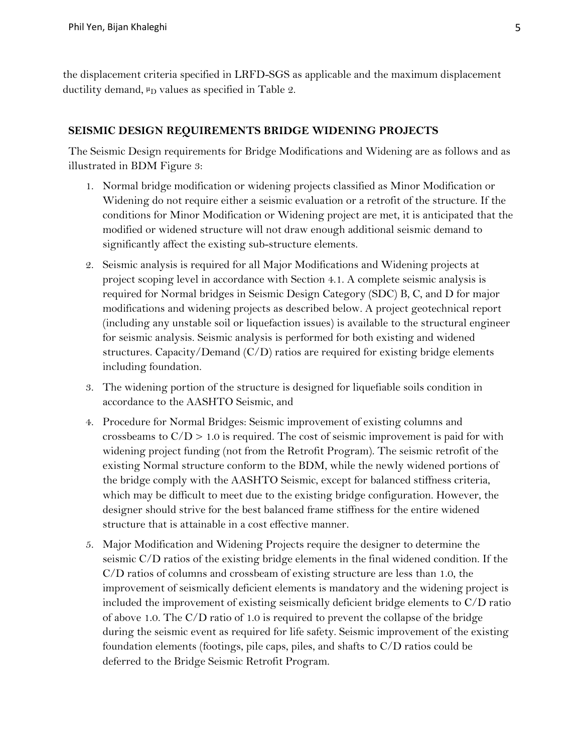the displacement criteria specified in LRFD-SGS as applicable and the maximum displacement ductility demand,  $\mu_D$  values as specified in Table 2.

#### **SEISMIC DESIGN REQUIREMENTS BRIDGE WIDENING PROJECTS**

The Seismic Design requirements for Bridge Modifications and Widening are as follows and as illustrated in BDM Figure 3:

- 1. Normal bridge modification or widening projects classified as Minor Modification or Widening do not require either a seismic evaluation or a retrofit of the structure. If the conditions for Minor Modification or Widening project are met, it is anticipated that the modified or widened structure will not draw enough additional seismic demand to significantly affect the existing sub-structure elements.
- 2. Seismic analysis is required for all Major Modifications and Widening projects at project scoping level in accordance with Section 4.1. A complete seismic analysis is required for Normal bridges in Seismic Design Category (SDC) B, C, and D for major modifications and widening projects as described below. A project geotechnical report (including any unstable soil or liquefaction issues) is available to the structural engineer for seismic analysis. Seismic analysis is performed for both existing and widened structures. Capacity/Demand (C/D) ratios are required for existing bridge elements including foundation.
- 3. The widening portion of the structure is designed for liquefiable soils condition in accordance to the AASHTO Seismic, and
- 4. Procedure for Normal Bridges: Seismic improvement of existing columns and crossbeams to  $C/D > 1.0$  is required. The cost of seismic improvement is paid for with widening project funding (not from the Retrofit Program). The seismic retrofit of the existing Normal structure conform to the BDM, while the newly widened portions of the bridge comply with the AASHTO Seismic, except for balanced stiffness criteria, which may be difficult to meet due to the existing bridge configuration. However, the designer should strive for the best balanced frame stiffness for the entire widened structure that is attainable in a cost effective manner.
- 5. Major Modification and Widening Projects require the designer to determine the seismic C/D ratios of the existing bridge elements in the final widened condition. If the C/D ratios of columns and crossbeam of existing structure are less than 1.0, the improvement of seismically deficient elements is mandatory and the widening project is included the improvement of existing seismically deficient bridge elements to C/D ratio of above 1.0. The C/D ratio of 1.0 is required to prevent the collapse of the bridge during the seismic event as required for life safety. Seismic improvement of the existing foundation elements (footings, pile caps, piles, and shafts to C/D ratios could be deferred to the Bridge Seismic Retrofit Program.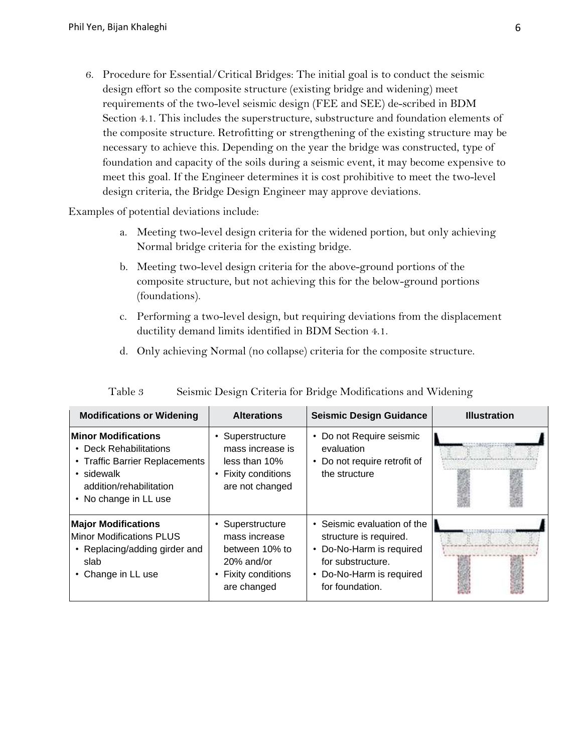6. Procedure for Essential/Critical Bridges: The initial goal is to conduct the seismic design effort so the composite structure (existing bridge and widening) meet requirements of the two-level seismic design (FEE and SEE) de-scribed in BDM Section 4.1. This includes the superstructure, substructure and foundation elements of the composite structure. Retrofitting or strengthening of the existing structure may be necessary to achieve this. Depending on the year the bridge was constructed, type of foundation and capacity of the soils during a seismic event, it may become expensive to meet this goal. If the Engineer determines it is cost prohibitive to meet the two-level design criteria, the Bridge Design Engineer may approve deviations.

Examples of potential deviations include:

- a. Meeting two-level design criteria for the widened portion, but only achieving Normal bridge criteria for the existing bridge.
- b. Meeting two-level design criteria for the above-ground portions of the composite structure, but not achieving this for the below-ground portions (foundations).
- c. Performing a two-level design, but requiring deviations from the displacement ductility demand limits identified in BDM Section 4.1.
- d. Only achieving Normal (no collapse) criteria for the composite structure.

| <b>Modifications or Widening</b>                                                                                                                              | <b>Alterations</b>                                                                                                    | <b>Seismic Design Guidance</b>                                                                                                                        | <b>Illustration</b> |
|---------------------------------------------------------------------------------------------------------------------------------------------------------------|-----------------------------------------------------------------------------------------------------------------------|-------------------------------------------------------------------------------------------------------------------------------------------------------|---------------------|
| <b>Minor Modifications</b><br><b>Deck Rehabilitations</b><br>• Traffic Barrier Replacements<br>• sidewalk<br>addition/rehabilitation<br>• No change in LL use | Superstructure<br>mass increase is<br>less than 10%<br>• Fixity conditions<br>are not changed                         | • Do not Require seismic<br>evaluation<br>• Do not require retrofit of<br>the structure                                                               |                     |
| <b>Major Modifications</b><br><b>Minor Modifications PLUS</b><br>Replacing/adding girder and<br>$\bullet$<br>slab<br>Change in LL use                         | Superstructure<br>$\bullet$<br>mass increase<br>between 10% to<br>$20\%$ and/or<br>• Fixity conditions<br>are changed | • Seismic evaluation of the<br>structure is required.<br>• Do-No-Harm is required<br>for substructure.<br>• Do-No-Harm is required<br>for foundation. |                     |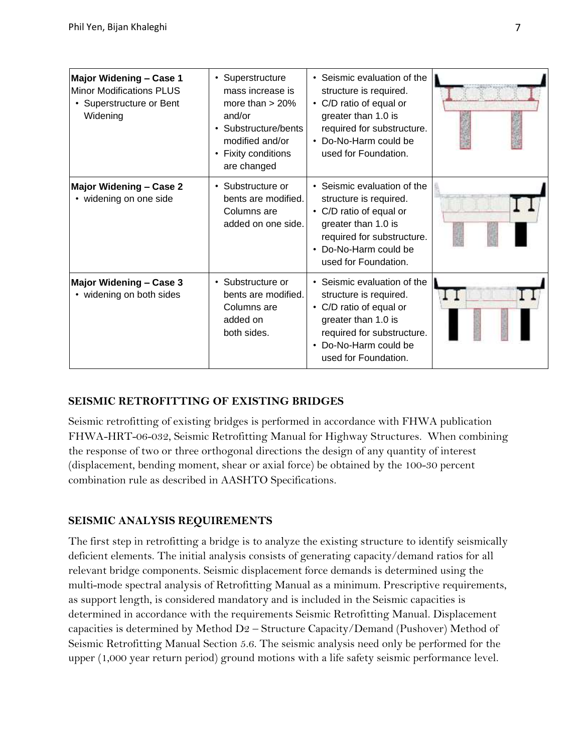| Major Widening - Case 1<br><b>Minor Modifications PLUS</b><br>• Superstructure or Bent<br>Widening | • Superstructure<br>mass increase is<br>more than $> 20\%$<br>and/or<br>• Substructure/bents<br>modified and/or<br>• Fixity conditions<br>are changed | • Seismic evaluation of the<br>structure is required.<br>• C/D ratio of equal or<br>greater than 1.0 is<br>required for substructure.<br>• Do-No-Harm could be<br>used for Foundation. |  |
|----------------------------------------------------------------------------------------------------|-------------------------------------------------------------------------------------------------------------------------------------------------------|----------------------------------------------------------------------------------------------------------------------------------------------------------------------------------------|--|
| <b>Major Widening - Case 2</b><br>• widening on one side                                           | • Substructure or<br>bents are modified.<br>Columns are<br>added on one side.                                                                         | • Seismic evaluation of the<br>structure is required.<br>• C/D ratio of equal or<br>greater than 1.0 is<br>required for substructure.<br>• Do-No-Harm could be<br>used for Foundation. |  |
| Major Widening - Case 3<br>• widening on both sides                                                | • Substructure or<br>bents are modified.<br>Columns are<br>added on<br>both sides.                                                                    | • Seismic evaluation of the<br>structure is required.<br>• C/D ratio of equal or<br>greater than 1.0 is<br>required for substructure.<br>• Do-No-Harm could be<br>used for Foundation. |  |

### **SEISMIC RETROFITTING OF EXISTING BRIDGES**

Seismic retrofitting of existing bridges is performed in accordance with FHWA publication FHWA-HRT-06-032, Seismic Retrofitting Manual for Highway Structures. When combining the response of two or three orthogonal directions the design of any quantity of interest (displacement, bending moment, shear or axial force) be obtained by the 100-30 percent combination rule as described in AASHTO Specifications.

# **SEISMIC ANALYSIS REQUIREMENTS**

The first step in retrofitting a bridge is to analyze the existing structure to identify seismically deficient elements. The initial analysis consists of generating capacity/demand ratios for all relevant bridge components. Seismic displacement force demands is determined using the multi-mode spectral analysis of Retrofitting Manual as a minimum. Prescriptive requirements, as support length, is considered mandatory and is included in the Seismic capacities is determined in accordance with the requirements Seismic Retrofitting Manual. Displacement capacities is determined by Method D2 – Structure Capacity/Demand (Pushover) Method of Seismic Retrofitting Manual Section 5.6. The seismic analysis need only be performed for the upper (1,000 year return period) ground motions with a life safety seismic performance level.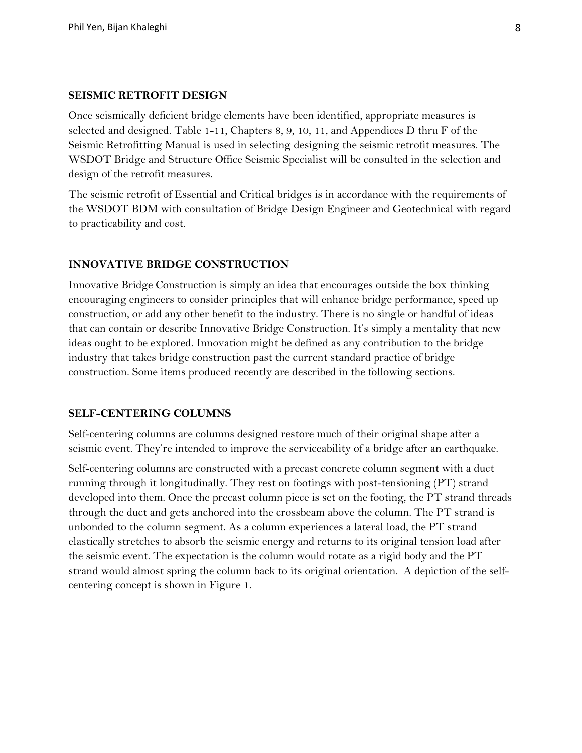#### **SEISMIC RETROFIT DESIGN**

Once seismically deficient bridge elements have been identified, appropriate measures is selected and designed. Table 1-11, Chapters 8, 9, 10, 11, and Appendices D thru F of the Seismic Retrofitting Manual is used in selecting designing the seismic retrofit measures. The WSDOT Bridge and Structure Office Seismic Specialist will be consulted in the selection and design of the retrofit measures.

The seismic retrofit of Essential and Critical bridges is in accordance with the requirements of the WSDOT BDM with consultation of Bridge Design Engineer and Geotechnical with regard to practicability and cost.

### **INNOVATIVE BRIDGE CONSTRUCTION**

Innovative Bridge Construction is simply an idea that encourages outside the box thinking encouraging engineers to consider principles that will enhance bridge performance, speed up construction, or add any other benefit to the industry. There is no single or handful of ideas that can contain or describe Innovative Bridge Construction. It's simply a mentality that new ideas ought to be explored. Innovation might be defined as any contribution to the bridge industry that takes bridge construction past the current standard practice of bridge construction. Some items produced recently are described in the following sections.

#### **SELF-CENTERING COLUMNS**

Self-centering columns are columns designed restore much of their original shape after a seismic event. They're intended to improve the serviceability of a bridge after an earthquake.

Self-centering columns are constructed with a precast concrete column segment with a duct running through it longitudinally. They rest on footings with post-tensioning (PT) strand developed into them. Once the precast column piece is set on the footing, the PT strand threads through the duct and gets anchored into the crossbeam above the column. The PT strand is unbonded to the column segment. As a column experiences a lateral load, the PT strand elastically stretches to absorb the seismic energy and returns to its original tension load after the seismic event. The expectation is the column would rotate as a rigid body and the PT strand would almost spring the column back to its original orientation. A depiction of the selfcentering concept is shown in Figure 1.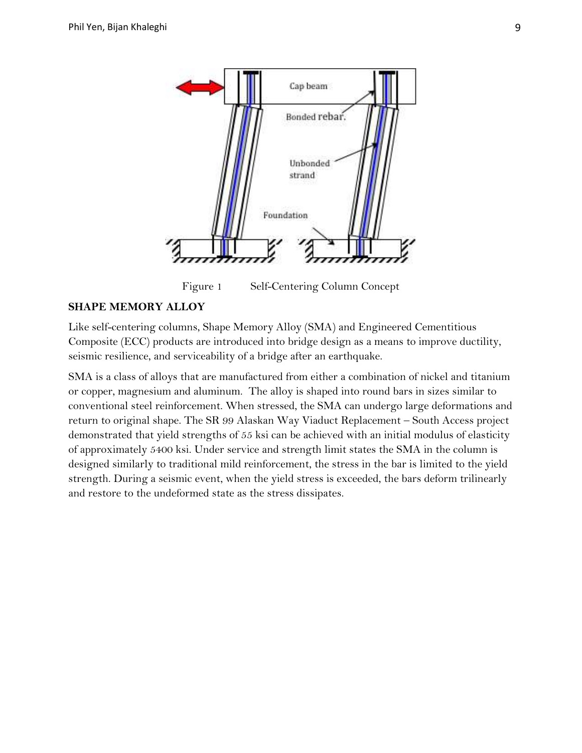

Figure 1 Self-Centering Column Concept

#### **SHAPE MEMORY ALLOY**

Like self-centering columns, Shape Memory Alloy (SMA) and Engineered Cementitious Composite (ECC) products are introduced into bridge design as a means to improve ductility, seismic resilience, and serviceability of a bridge after an earthquake.

SMA is a class of alloys that are manufactured from either a combination of nickel and titanium or copper, magnesium and aluminum. The alloy is shaped into round bars in sizes similar to conventional steel reinforcement. When stressed, the SMA can undergo large deformations and return to original shape. The SR 99 Alaskan Way Viaduct Replacement – South Access project demonstrated that yield strengths of 55 ksi can be achieved with an initial modulus of elasticity of approximately 5400 ksi. Under service and strength limit states the SMA in the column is designed similarly to traditional mild reinforcement, the stress in the bar is limited to the yield strength. During a seismic event, when the yield stress is exceeded, the bars deform trilinearly and restore to the undeformed state as the stress dissipates.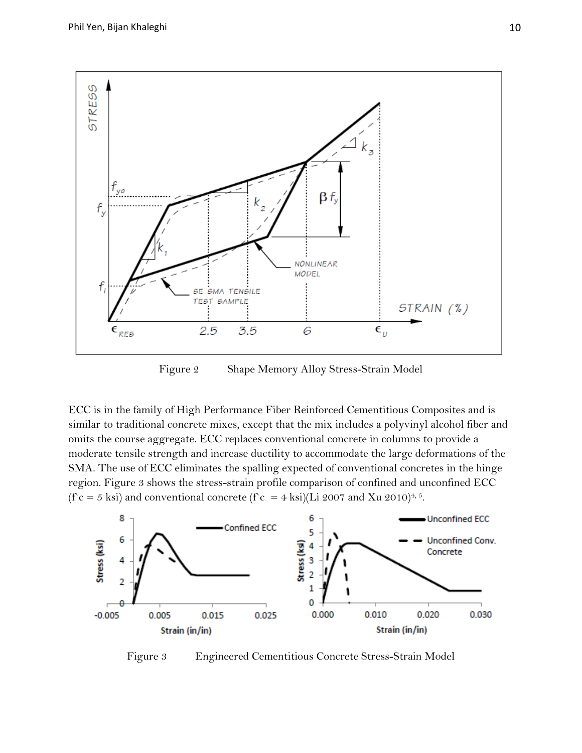

Figure 2 Shape Memory Alloy Stress-Strain Model

ECC is in the family of High Performance Fiber Reinforced Cementitious Composites and is similar to traditional concrete mixes, except that the mix includes a polyvinyl alcohol fiber and omits the course aggregate. ECC replaces conventional concrete in columns to provide a moderate tensile strength and increase ductility to accommodate the large deformations of the SMA. The use of ECC eliminates the spalling expected of conventional concretes in the hinge region. Figure 3 shows the stress-strain profile comparison of confined and unconfined ECC (f c = 5 ksi) and conventional concrete (f c = 4 ksi)(Li 2007 and Xu 2010)<sup>4, 5</sup>.



Figure 3 Engineered Cementitious Concrete Stress-Strain Model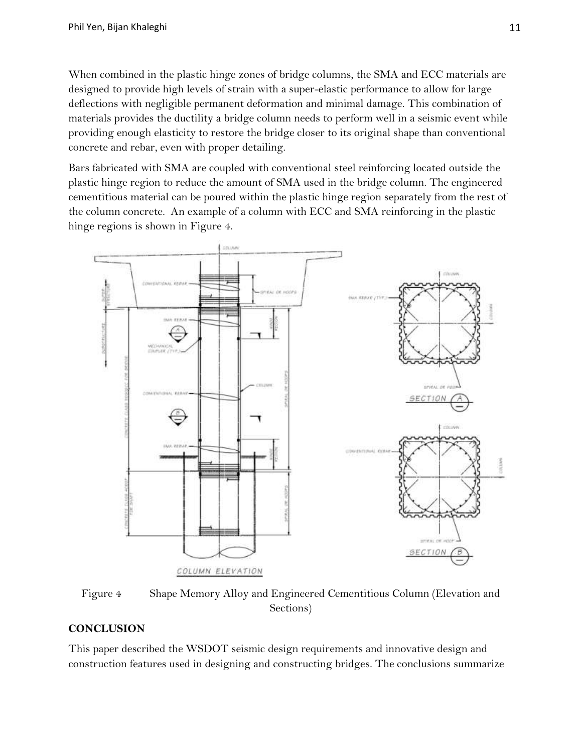When combined in the plastic hinge zones of bridge columns, the SMA and ECC materials are designed to provide high levels of strain with a super-elastic performance to allow for large deflections with negligible permanent deformation and minimal damage. This combination of materials provides the ductility a bridge column needs to perform well in a seismic event while providing enough elasticity to restore the bridge closer to its original shape than conventional concrete and rebar, even with proper detailing.

Bars fabricated with SMA are coupled with conventional steel reinforcing located outside the plastic hinge region to reduce the amount of SMA used in the bridge column. The engineered cementitious material can be poured within the plastic hinge region separately from the rest of the column concrete. An example of a column with ECC and SMA reinforcing in the plastic hinge regions is shown in Figure 4.



Figure 4 Shape Memory Alloy and Engineered Cementitious Column (Elevation and Sections)

# **CONCLUSION**

This paper described the WSDOT seismic design requirements and innovative design and construction features used in designing and constructing bridges. The conclusions summarize